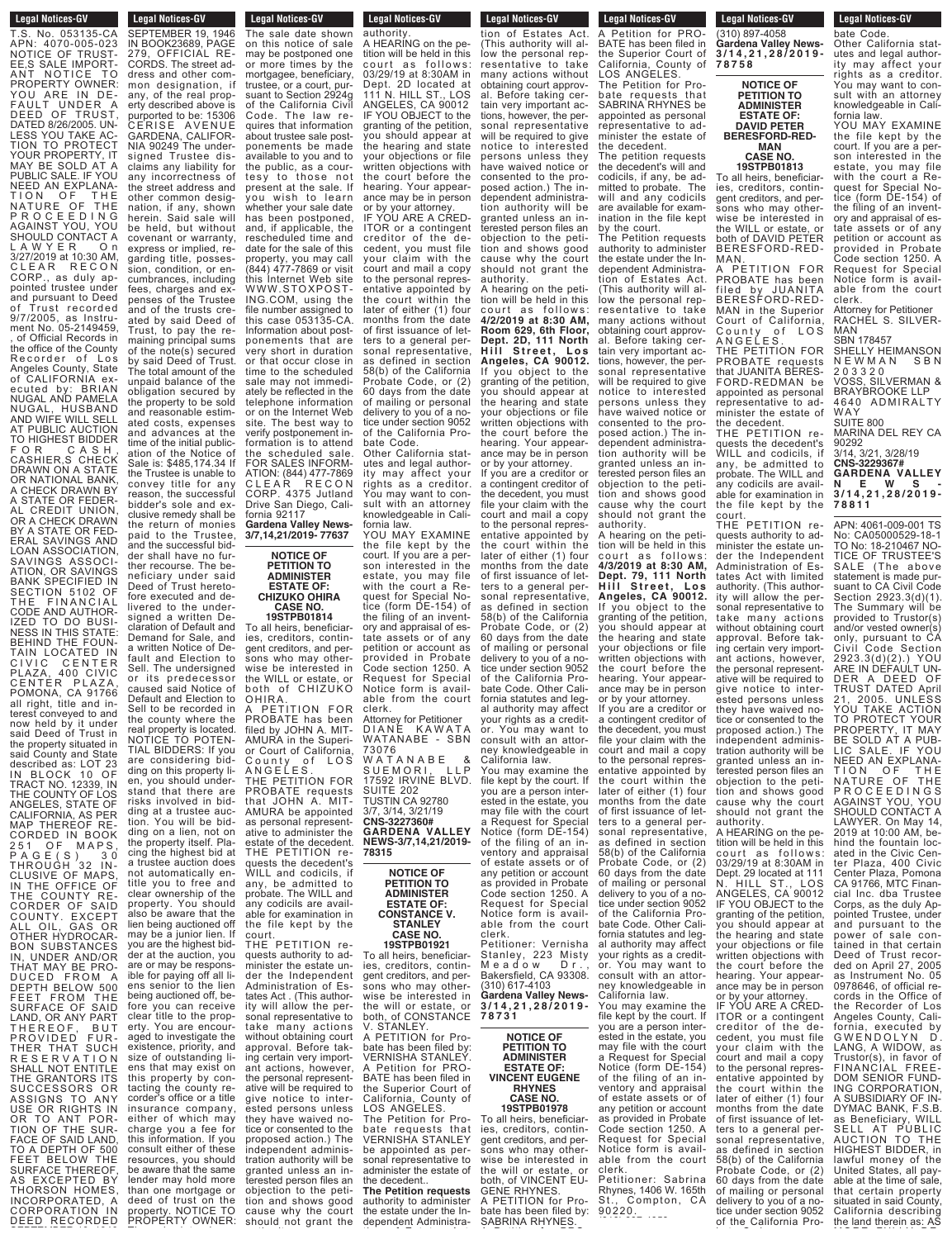**Legal Notices-GV** T.S. No. 053135-CA APN: 4070-005-023<br>NOTICE OF TRUST-NOTICE OF TRUST-<br>EE,S SALE IMPORT-<br>ANT NOTICE TO<br>PROPERTY OWNER:<br>YOU ARE IN DE-<br>FAULT UNDER A DEED OF TRUST, DATED 8/26/2005. UN-LESS YOU TAKE AC- TION TO PROTECT YOUR PROPERTY, IT MAY BE SOLD AT A PUBLIC SALE. IF YOU NEED AN EXPLANA-TION OF THE<br>NATURE OF THE<br>PROCEEDING<br>AGAINSTYOU,YOU SHOULD CONTACT A<br>L A W Y E R O n<br>3/27/2019 at 10:30 AM, CLEAR RECON<br>CORP., as duly ap-CORP., as duly ap-<br>pointed trustee under<br>and pursuant to Deed of Trust recorded<br>9/7/2005, as Instrument No. 05-2149459,<br>, of Official Records in the office of the County Recorder of Los<br>Angeles-County, State of CALIFORNIA ex-<br>ecuted by: BRIAN<br>NUGAL AND PAMELA NUGAL, HUSBAND AND WIFE WILL SELL AT PUBLIC AUCTION TO HIGHEST BIDDER FOR CASH,<br>CASHIER,SCHECK<br>DRAWN ON A STATE<br>OR NATIONAL BANK, A CHECK DRAWN BY <sup>A</sup> STATE OR FEDER- AL CREDIT UNION, OR A CHECK DRAWN BY A STATE OR FED-ERAL SAVINGS AND LOAN ASSOCIATION,<br>SAVINGS ASSOCI-<br>ATION, OR SAVINGS BANK SPECIFIED IN SECTION 5102 OF SESTION STOP<br>THE FINANCIAL<br>CODE AND AUTHOR-CODE AND AUTHOR-<br>IZED TO DO BUSI-NESS IN THIS STATE:<br>BEHIND THE FOUN-TAIN LOCATED IN<br>CIVIC CENTER PLAZA, 400 CIVIC<br>CENTER PLAZA,<br>POMONA, CA 91766<br>all right, title and interest conveyed to and now held by it under said Deed of Trust in the property situated in said County and State described as: LOT 23 IN BLOCK 10 OF TRACT NO. 12339, IN THE COUNTY OF LOS ANGELES, STATE OF CALIFORNIA, AS PER<br>MAP THEREOF RE-MAP THEREOF RE-<br>CORDED IN BOOK<br>251 OF MAPS,<br>PAGE(S) 30 THROUGH 32 IN-CLUSIVE OF MAPS<br>IN THE OFFICE OF THE COUNTY RE-<br>CORDER OF SAID<br>COUNTY. EXCEPT<br>ALL OIL, GAS OR<br>OTHER HYDROCAR-<br>BON SUBSTANCES IN, UNDER AND/OR THAT MAY BE PRO-DUCED FROM A<br>DEPTH\_BELOW 500<br>FEET FROM THE SURFACE OF SAID LAND, OR ANY PART THEREOF, BUT PROVIDED FUR-<br>THER THAT SUCH<br>RESERVATION SHALL NOT ENTITLE THE GRANTORS ITS SUCCESSORS OR<br>ASSIGNS TO ANY ASSIGNS TO ANY USE OR RIGHTS IN OR TO ANT POR-TION OF THE SUR-FACE OF SAID LAND, TO A DEPTH OF 500 FEET BELOW THE SURFACE THEREOF, **AS EXCEPTED BY**<br>THORSON HOMES, THORSON HOMES,<br>INCORPORATED, A<br>CORPORATION IN

DEED RECORDED

objection to the petition and shows good cause why the court<br>should not grant the SEPTEMBER 19, 1946 IN BOOK23689, PAGE 279, OFFICIAL RE-CORDS. The street address and other common designation, if any, of the real property described above is purported to be: 15306 CERISE AVENUE GARDENA, CALIFOR-NIA 90249 The undersigned Trustee disclaims any liability for any incorrectness of the street address and other common designation, if any, shown herein. Said sale will be held, but without covenant or warranty, express or implied, regarding title, possession, condition, or encumbrances, including fees, charges and expenses of the Trustee and of the trusts created by said Deed of Trust, to pay the remaining principal sums of the note(s) secured by said Deed of Trust. The total amount of the unpaid balance of the obligation secured by the property to be sold and reasonable estimated costs, expenses and advances at the time of the initial publication of the Notice of Sale is: \$485,174.34 If the Trustee is unable to convey title for any reason, the successful bidder's sole and exclusive remedy shall be the return of monies paid to the Trustee, and the successful bidder shall have no further recourse. The beneficiary under said Deed of Trust heretofore executed and delivered to the undersigned a written Declaration of Default and Demand for Sale, and a written Notice of Default and Election to<br>Sell. The undersigned The undersigned or its predecessor caused said Notice of Default and Election to Sell to be recorded in the county where the real property is located. NOTICE TO POTEN-TIAL BIDDERS: If you are considering bidding on this property lien, you should understand that there are risks involved in bidding at a trustee auction. You will be bidding on a lien, not on the property itself. Placing the highest bid at a trustee auction does not automatically entitle you to free and clear ownership of the property. You should also be aware that the lien being auctioned off may be a junior lien. If you are the highest bidder at the auction, you are or may be responsible for paying off all liens senior to the lien being auctioned off, before you can receive clear title to the property. You are encouraged to investigate the existence, priority, and size of outstanding liens that may exist on this property by contacting the county recorder's office or a title insurance company, either of which may charge you a fee for this information. If you consult either of these resources, you should be aware that the same lender may hold more than one mortgage or deed of trust on the property. NOTICE TO PROPERTY OWNER:<br>-

**Legal Notices-GV** Legal Nutles-QV

**Legal Notices-GV Property Control** The sale date shown on this notice of sale may be postponed one or more times by the mortgagee, beneficiary, trustee, or a court, pursuant to Section 2924g of the California Civil Code. The law requires that information about trustee sale postponements be made available to you and to the public, as a courtesy to those not present at the sale. If you wish to learn whether your sale date has been postponed, and, if applicable, the rescheduled time and date for the sale of this property, you may call (844) 477-7869 or visit this Internet Web site WWW.STOXPOST-ING.COM, using the file number assigned to this case 053135-CA. Information about postponements that are very short in duration or that occur close in time to the scheduled sale may not immediately be reflected in the telephone information or on the Internet Web site. The best way to verify postponement information is to attend the scheduled sale. FOR SALES INFORM-ATION: (844) 477-7869 CLEAR RECON CORP. 4375 Jutland Drive San Diego, California 92117 **Gardena Valley News-3/7,14,21/2019- 77637 NOTICE OF**

### **PETITION TO ADMINISTER ESTATE OF: CHIZUKO OHIRA CASE NO.**

**19STPB01814** To all heirs, beneficiaries, creditors, contingent creditors, and persons who may otherwise be interested in the WILL or estate, or both of CHIZUKO both of<br>OHIRA. A PETITION FOR PROBATE has been filed by JOHN A. MIT-AMURA in the Superior Court of California, County of LOS A N G E L E S . THE PETITION FOR PROBATE requests that JOHN A. MIT-AMURA be appointed as personal representative to administer the estate of the decedent. THE PETITION requests the decedent's WILL and codicils, if any, be admitted to probate. The WILL and any codicils are avail-able for examination in the file kept by the court. THE PETITION requests authority to administer the estate under the Independent Administration of Estates Act . (This authority will allow the personal representative to take many actions without obtaining court approval. Before taking certain very important actions, however, the personal representative will be required to give notice to interested persons unless they have waived notice or consented to the proposed action.) The independent administration authority will be granted unless an interested person files an

#### **Legal Notices-GV** Legal Notices-GV

authority. A HEARING on the petition will be held in this court as follows: 03/29/19 at 8:30AM in Dept. 2D located at 111 N. HILL ST., LOS ANGELES, CA 90012 IF YOU OBJECT to the granting of the petition, you should appear at the hearing and state your objections or file written objections with the court before the hearing. Your appearance may be in person or by your attorney. IF YOU ARE A CRED-ITOR or a contingent creditor of the decedent, you must file your claim with the court and mail a copy to the personal representative appointed by the court within the later of either (1) four months from the date of first issuance of letters to a general personal representative, as defined in section 58(b) of the California Probate Code, or (2) 60 days from the date of mailing or personal delivery to you of a notice under section 9052 of the California Probate Code.

Other California statutes and legal authority may affect your rights as a creditor. You may want to consult with an attorney knowledgeable in California law.

YOU MAY EXAMINE the file kept by the court. If you are a person interested in the estate, you may file with the court a Request for Special Notice (form DE-154) of the filing of an inventory and appraisal of estate assets or of any petition or account as .<br>provided in Probate Code section 1250. A Request for Special Notice form is available from the court clerk. Attorney for Petitioner DIANE KAWATA WATANABE - SBN 73076

W A T A N A B E & S U E M O R I , L L P 17592 IRVINE BLVD. SUITE 202 TUSTIN CA 92780 3/7, 3/14, 3/21/19 **CNS-3227360# GARDENA VALLEY NEWS-3/7,14,21/2019- 78315**

> **NOTICE OF PETITION TO ADMINISTER ESTATE OF: CONSTANCE V. STANLEY CASE NO. 19STPB01921**

To all heirs, beneficiarcreditors, contingent creditors, and persons who may other-wise be interested in the will or estate. both, of CONSTANCE V. STANLEY.

A PETITION for Probate has been filed by: VERNISHA STANLEY. A Petition for PRO-BATE has been filed in the Superior Court of California, County of LOS ANGELES. The Petition for Probate requests that VERNISHA STANLEY

be appointed as personal representative to administer the estate of the decedent.. **The Petition requests**

authority to administer the estate under the Independent Administra-

#### **Legal Notices-GV** Legal Nutles-GV

tion of Estates Act. (This authority will allow the personal representative to take many actions without obtaining court approval. Before taking certain very important actions, however, the personal representative will be required to give notice to interested persons unless they have waived notice or consented to the proposed action.) The independent administration authority will be granted unless an interested person files an objection to the petition and shows good cause why the court should not grant the authority.

A hearing on the petition will be held in this court as follows: **4/2/2019 at 8:30 AM, Room 629, 6th Floor, Dept. 2D, 111 North H i l l S tr e e t , L o s Angeles, CA 90012.** If you object to the granting of the petition, you should appear at the hearing and state your objections or file written objections with the court before the hearing. Your appearance may be in person or by your attorney.

If you are a creditor or a contingent creditor of the decedent, you must file your claim with the court and mail a copy to the personal representative appointed by the court within the later of either (1) four months from the date of first issuance of letters to a general personal representative. as defined in section 58(b) of the California Probate Code, or (2) 60 days from the date of mailing or personal delivery to you of a notice under section 9052 of the California Probate Code. Other California statutes and legal authority may affect your rights as a creditor. You may want to consult with an attorney knowledgeable in California law. You may examine the file kept by the court. If you are a person interested in the estate, you may file with the court a Request for Special Notice (form DE-154) of the filing of an inventory and appraisal of estate assets or of any petition or account as provided in Probate Code section 1250. A Request for Special Notice form is avail-able from the court clerk. Petitioner: Vernisha Stanley, 223 Misty M e a d o w D r . , Bakersfield, CA 93308.

**3 / 1 4 , 2 1 , 2 8 / 2 0 1 9 - 7 8 7 3 1 NOTICE OF PETITION TO ADMINISTER ESTATE OF:**

(310) 617-4103 **Gardena Valley News-**

**VINCENT EUGENE RHYNES CASE NO. 19STPB01978**

To all heirs, beneficiaries, creditors, contingent creditors, and persons who may otherwise be interested in the will or estate, or both, of VINCENT EU-GENE RHYNES.

A PETITION for Probate has been filed by: SABRINA RHYNES.

**Legal Notices-GV EGYAT NUTTIES-GY** A Petition for PRO-BATE has been filed in the Superior Court of California, County of LOS ANGELES. The Petition for Pro-

bate requests that SABRINA RHYNES be appointed as personal representative to administer the estate of the decedent.

The petition requests the decedent's will and codicils, if any, be admitted to probate. The will and any codicils are available for examination in the file kept by the court.

The Petition requests authority to administer the estate under the Independent Administration of Estates Act. (This authority will allow the personal representative to take many actions without obtaining court approval. Before taking certain very important actions, however, the personal representative will be required to give notice to interested persons unless they have waived notice or consented to the proposed action.) The independent administration authority will be granted unless an interested person files an objection to the petition and shows good cause why the court should not grant the authority.

A hearing on the petition will be held in this c o u rt a s f o l l o w s : **4/3/2019 at 8:30 AM, Dept. 79, 111 North H i l l S tr e e t , L o s Angeles, CA 90012.** If you object to the granting of the petition, you should appear at the hearing and state your objections or file written objections with the court before the hearing. Your appearance may be in person or by your attorney.

If you are a creditor or a contingent creditor of the decedent, you must file your claim with the court and mail a copy to the personal representative appointed by the court within the later of either (1) four months from the date of first issuance of letters to a general personal representative, as defined in section 58(b) of the California Probate Code, or 60 days from the date of mailing or personal delivery to you of a notice under section 9052 of the California Probate Code. Other California statutes and legal authority may affect your rights as a creditor. You may want to consult with an attorney knowledgeable in California law.

You may examine the file kept by the court. If you are a person interested in the estate, you may file with the court a Request for Special Notice (form DE-154) of the filing of an inventory and appraisal of estate assets or of any petition or account as provided in Probate Code section 1250. A Request for Special Notice form is available from the court clerk.

Petitioner: Sabrina Rhynes, 1406 W. 165th St., Compton, CA 90220.

#### **Legal Notices-GV Legal Nutles-GV** bate Code. **Legal Notices-GV**

**LGY** 191 (310) 897-4058 **Gardena Valley News-3 / 1 4 , 2 1 , 2 8 / 2 0 1 9 - 7 8 7 5 8**

**NOTICE OF PETITION TO ADMINISTER ESTATE OF: DAVID PETER BERESFORD-RED-MAN**

# **CASE NO. 19STPB01813**

To all heirs, beneficiaries, creditors, contingent creditors, and persons who may otherwise be interested in the WILL or estate, or both of DAVID PETER BERESFORD-RED-MA<sub>N</sub>

A PETITION FOR PROBATE has been filed by JUANITA BERESFORD-RED-MAN in the Superior Court of California, County of LOS A N G E L E S .

THE PETITION FOR PROBATE requests that JUANITA BERES-FORD-REDMAN be appointed as personal representative to administer the estate of the decedent.

**3 / 1 4 , 2 1 , 2 8 / 2 0 1 9 -** THE PETITION requests the decedent's WILL and codicils, if any, be admitted to probate. The WILL and any codicils are available for examination in the file kept by the court.

THE PETITION requests authority to administer the estate under the Independent Administration of Estates Act with limited authority. (This authority will allow the personal representative to take many actions without obtaining court approval. Before taking certain very important actions, however, the personal representative will be required to give notice to interested persons unless they have waived notice or consented to the proposed action.) The independent administration authority will be granted unless an interested person files an objection to the petition and shows good cause why the court should not grant the authority.

A HEARING on the petition will be held in this court as follows: 03/29/19 at 8:30AM in Dept. 29 located at 111 N. HILL ST., LOS ANGELES, CA 90012 IF YOU OBJECT to the granting of the petition, you should appear at the hearing and state your objections or file written objections with the court before the hearing. Your appearance may be in person or by your attorney.

IF YOU ARE A CRED-ITOR or a contingent creditor of the decedent, you must file your claim with the court and mail a copy to the personal representative appointed by the court within the later of either (1) four months from the date of first issuance of letters to a general personal representative, as defined in section 58(b) of the California Probate Code, or (2) 60 days from the date of mailing or personal delivery to you of a notice under section 9052 of the California Pro-

Other California statutes and legal authority may affect your rights as a creditor. You may want to consult with an attorney knowledgeable in California law. YOU MAY EXAMINE the file kept by the court. If you are a person interested in the estate, you may file with the court a Request for Special Notice (form DE-154) of the filing of an inventory and appraisal of estate assets or of any petition or account as provided in Probate Code section 1250. A Request for Special Notice form is available from the court

Attorney for Petitioner RACHÉL S. SILVER-MAN<sup>1</sup> SBN 178457

SHELLY HEIMANSON N E W M A N S B N 2 0 3 3 2 0 VOSS, SILVERMAN &

BRAYBROOKE LLP 4640 ADMIRALTY WAY SUITE 800

MARINA DEL REY CA 90292 3/14, 3/21, 3/28/19 **CNS-3229367# GARDENA VALLEY N E W S -**

clerk.

**7 8 8 1 1** APN: 4061-009-001 TS No: CA05000529-18-1 TO No: 18-210467 NO-TICE OF TRUSTEE'S SALE (The above statement is made pursuant to CA Civil Code Section 2923.3(d)(1). The Summary will be provided to Trustor(s) and/or vested owner(s) only, pursuant to CA Civil Code Section 2923.3(d)(2).) YOU ARE IN DEFAULT UN-DER A DEED OF TRUST DATED April TRUST DATED OF<br>21, 2005. UNLESS YOU TAKE ACTION TO PROTECT YOUR PROPERTY, IT MAY BE SOLD AT A PUB-LIC SALE. IF YOU NEED AN EXPLANA-TION OF THE NATURE OF THE P R O C E E D I N G S AGAINST YOU, YOU SHOULD CONTACT A LAWYER. On May 14, 2019 at 10:00 AM, behind the fountain located in the Civic Center Plaza, 400 Civic Center Plaza, Pomona CA 91766, MTC Financial Inc. dba Trustee Corps, as the duly Ap-pointed Trustee, under and pursuant to the power of sale contained in that certain Deed of Trust recorded on April 27, 2005 as Instrument No. 05 0978646, of official records in the Office of the Recorder of Los Angeles County, California, executed by GWENDOLYN D. LANG, A WIDOW, as Trustor(s), in favor of FINANCIAL FREE-DOM SENIOR FUND-ING CORPORATION, ...<br>A SUBSIDIARY DYMAC BANK, F.S.B. as Beneficiary, WILL SELL AT PUBLIC AUCTION TO THE HIGHEST BIDDER, in lawful money of the United States, all payable at the time of sale, that certain property situated in said County, California describing the land therein as: AS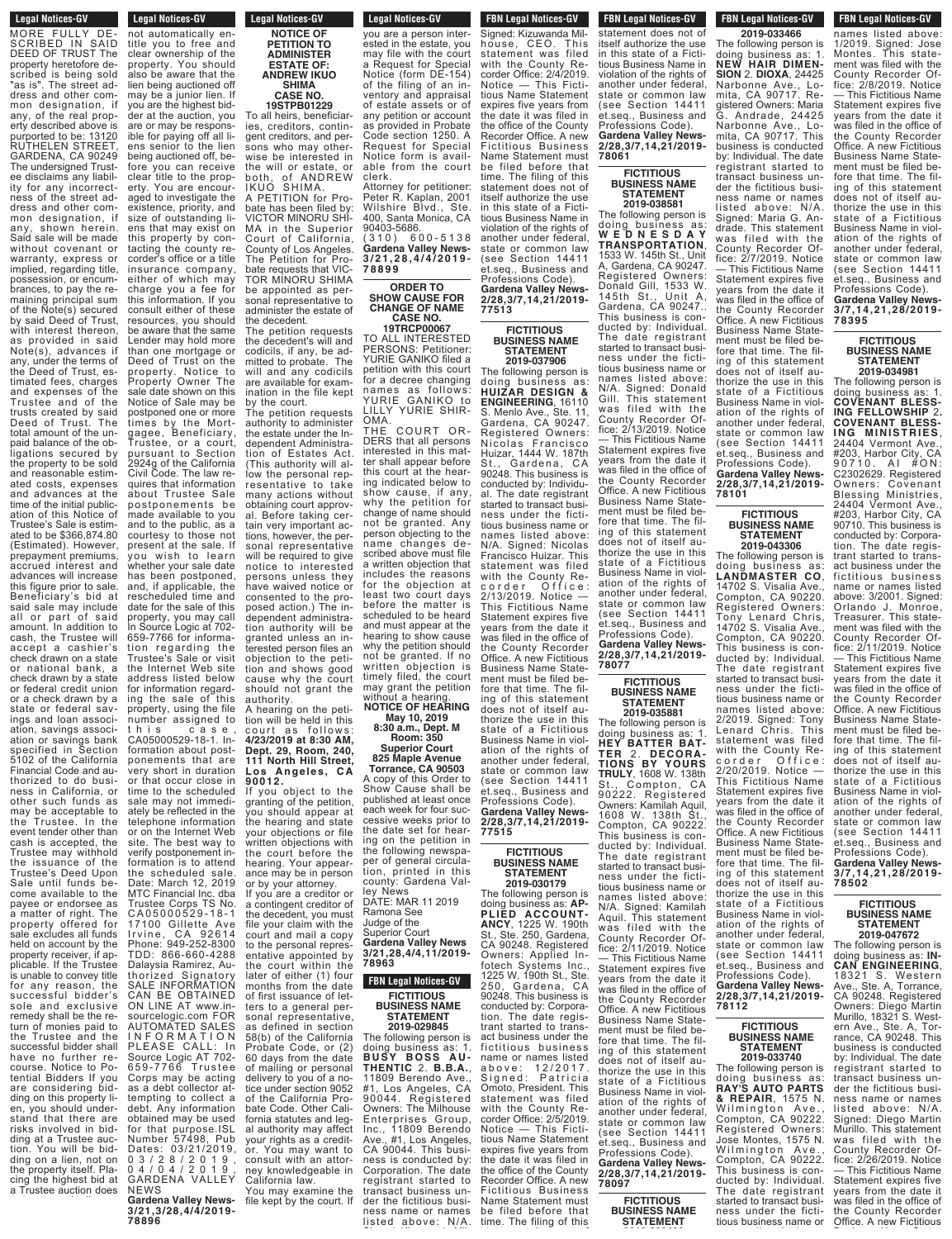**Legal Notices-GV Legal Nutles-GV** MORE FULLY DE-SCRIBED IN SAID DEED OF TRUST The property heretofore described is being sold "as is". The street address and other common designation, if any, of the real property described above is purported to be: 13120 RUTHELEN STREET, GARDENA, CA 90249 The undersigned Trustee disclaims any liability for any incorrectness of the street address and other common designation, if<br>any, shown herein. shown herein. Said sale will be made without covenant or warranty, express or implied, regarding title, possession, or encumbrances, to pay the remaining principal sum of the Note(s) secured by said Deed of Trust, with interest thereon, as provided in said Note(s), advances if any, under the terms of the Deed of Trust, estimated fees, charges and expenses of the Trustee and of the trusts created by said Deed of Trust. The total amount of the unpaid balance of the obligations secured by the property to be sold and reasonable estimated costs, expenses and advances at the time of the initial publication of this Notice of Trustee's Sale is estimated to be \$366,874.80 (Estimated). However, prepayment premiums, accrued interest and advances will increase this figure prior to sale Beneficiary's bid at said sale may include all or part of said amount. In addition to cash, the Trustee will accept a cashier's check drawn on a state or national bank check drawn by a state or federal credit union or a check drawn by a state or federal sayings and loan association, savings association or savings bank specified in Section 5102 of the California Financial Code and authorized to do business in California, or other such funds as may be acceptable to<br>the Trustee. In the Trustee. In the event tender other than cash is accepted, the Trustee may withhold the issuance of the Trustee's Deed Upon Sale until funds be come available to the payee or endorsee as a matter of right. The property offered for sale excludes all funds held on account by the property receiver, if applicable. If the Trustee is unable to convey title<br>for any reason, the for any reason successful bidder's sole and exclusive remedy shall be the return of monies paid to the Trustee and the successful bidder shall have no further recourse. Notice to Potential Bidders If you are considering bidding on this property lien, you should understand that there are risks involved in bidding at a Trustee auction. You will be bidding on a lien, not on the property itself. Placing the highest bid at <sup>a</sup> Trustee auction does

**Legal Notices-GV Legal Notices-GV** Legal Nutles-av not automatically entitle you to free and clear ownership of the property. You should also be aware that the lien being auctioned off may be a junior lien. If you are the highest bidder at the auction, you are or may be responsible for paying off all liens senior to the lien being auctioned off, before you can receive clear title to the property. You are encouraged to investigate the existence, priority, and size of outstanding liens that may exist on this property by contacting the county recorder's office or a title insurance company, either of which may charge you a fee for this information. If you consult either of these resources, you should be aware that the same Lender may hold more than one mortgage or Deed of Trust on the property. Notice to Property Owner The sale date shown on this Notice of Sale may be postponed one or more times by the Mort-<br>gagee, Beneficiary, gagee, Beneficiary, Trustee, or a court, pursuant to Section 2924g of the California Civil Code. The law requires that information about Trustee Sale postponements be made available to you and to the public, as a courtesy to those not present at the sale. If .<br>you wish to learn whether your sale date has been postponed, and, if applicable, the rescheduled time and date for the sale of this property, you may call In Source Logic at 702- 659-7766 for information regarding the Trustee's Sale or visit the Internet Web site address listed below for information regarding the sale of this property, using the file number assigned to this case, CA05000529-18-1. Information about postponements that are very short in duration or that occur close in time to the scheduled sale may not immediately be reflected in the telephone information or on the Internet Web site. The best way to verify postponement information is to attend the scheduled sale. Date: March 12, 2019 MTC Financial Inc. dba Trustee Corps TS No. C A0 5 0 0 0 5 2 9 - 1 8 - 1 17100 Gillette Ave Irvine, CA 92614 Phone: 949-252-8300 TDD: 866-660-4288 Dalaysia Ramirez, Authorized Signatory SALE INFORMATION CAN BE OBTAINED ON LINE AT www.insourcelogic.com FOR AUTOMATED SALES I N F O R M A T I O N PLEASE CALL: In Source Logic AT 702-  $659 - 7766$ Corps may be acting as a debt collector attempting to collect a debt. Any information obtained may be used for that purpose.ISL Number 57498, Pub Dates: 03/21/2019, 0 3 / 2 8 / 2 0 1 9 , 0 4 / 0 4 / 2 0 1 9 , GARDENA VALLEY NEWS

**Gardena Valley News-3/21,3/28,4/4/2019- 78896**

### **NOTICE OF PETITION TO ADMINISTER ESTATE OF: ANDREW IKUO SHIMA CASE NO.**

Notice form is avail-**19STPB01229** To all heirs, beneficiaries, creditors, contingent creditors, and persons who may otherwise be interested in<br>the will or estate, or the will or estate, or both, of ANDREW IKUO SHIMA. PETITION for Probate has been filed by: VICTOR MINORU SHI-MA in the Superior Court of California, County of Los Angeles. The Petition for Probate requests that VIC-TOR MINORU SHIMA be appointed as personal representative to

administer the estate of the decedent. The petition requests the decedent's will and codicils, if any, be admitted to probate. The will and any codicils are available for examination in the file kept

by the court. The petition requests authority to administer the estate under the Independent Administration of Estates Act. (This authority will allow the personal representative to take many actions without obtaining court approval. Before taking certain very important actions, however, the personal representative will be required to give notice to interested persons unless they have waived notice or consented to the proposed action.) The independent administration authority will be granted unless an interested person files an objection to the petition and shows good cause why the court should not grant the authority.

A hearing on the petition will be held in this c o u rt a s f o l l o w s : **4/23/2019 at 8:30 AM, Dept. 29, Room, 240, 111 North Hill Street, Los Angeles, CA 90012.**

If you object to the granting of the petition, you should appear at the hearing and state your objections or file written objections with the court before the hearing. Your appearance may be in person or by your attorney.

If you are a creditor or a contingent creditor of the decedent, you must file your claim with the court and mail a copy to the personal repres entative appointed by the court within the later of either (1) four months from the date of first issuance of letters to a general personal representative. as defined in section 58(b) of the California Probate Code, or (2) 60 days from the date of mailing or personal delivery to you of a notice under section 9052 of the California Probate Code. Other California statutes and legal authority may affect your rights as a creditor. You may want to consult with an attorney knowledgeable in California law. You may examine the<br>file kept by the court. If

**Legal Notices-GV**  $f_{\text{total}}$  is the court of  $f_{\text{total}}$ you are a person interested in the estate, you may file with the court a Request for Special Notice (form DE-154) of the filing of an inventory and appraisal of estate assets or of any petition or account as provided in Probate Code section 1250. A Request for Special

able from the court clerk. Attorney for petitioner: Peter R. Kaplan, 2001 Wilshire Blvd., Ste. 400, Santa Monica, CA 400, Sana Monica, S.A.<br>90403-5686.<br>(310) 600-5138

( 3 1 0 ) 6 0 0 - 5 1 3 8 **Gardena Valley News-3 / 2 1 , 2 8 , 4 / 4 / 2 0 1 9 - 7 8 8 9 9**

### **ORDER TO SHOW CAUSE FOR CHANGE OF NAME CASE NO.**

**19TRCP00067** TO ALL INTERESTED PERSONS: Petitioner: YURIE GANIKO filed a petition with this court for a decree changing names as follows:

YURIE GANIKO to LILLY YURIE SHIR-OMA. COURT OR-DERS that all persons interested in this matter shall appear before this court at the hearing indicated below to show cause, if any, why the petition for change of name should not be granted. Any person objecting to the name changes described above must file a written objection that includes the reasons for the objection at least two court days before the matter is scheduled to be heard and must appear at the hearing to show cause why the petition should not be granted. If no written objection is timely filed, the court may grant the petition without a hearing. **NOTICE OF HEARING**

**May 10, 2019 8:30 a.m., Dept. M Room: 350**

**Superior Court 825 Maple Avenue**

**Torrance, CA 90503** A copy of this Order to Show Cause shall be published at least once each week for four successive weeks prior to the date set for hearing on the petition in the following newspaper of general circulation, printed in this county: Gardena Val-

ley News DATE: MAR 11 2019 Ramona See Judge of the Superior Court **Gardena Valley News 3/21,28,4/4,11/2019- 78963**

**FBN Legal Notices-GV FICTITIOUS**

**BUSINESS NAME STATEMENT 2019-029845** The following person is doing business as: 1. **B U SY BOSS A U - THENTIC** 2. **B.B.A.**, 11809 Berendo Ave., #1, Los Angeles, CA 90044. Registered Owners: The Milhouse Enterprises Group, Inc., 11809 Berendo Ave., #1, Los Angeles, Ave., #1, Los Angeles,<br>CA 90044. This business is conducted by: Corporation. The date registrant started to transact business under the fictitious business name or names

listed above: N/A.

**FBN Legal Notices-GV** l DN Legal Nutrices-GV Signed: Kizuwanda Milhouse, CEO. This statement was filed with the County Recorder Office: 2/4/2019. Notice — This Fictitious Name Statement expires five years from the date it was filed in the office of the County Recorder Office. A new Fictitious Business Name Statement must be filed before that time. The filing of this statement does not of itself authorize the use in this state of a Fictitious Business Name in violation of the rights of another under federal, state or common law (see Section 14411

et.seq., Business and Professions Code). **Gardena Valley News-2/28,3/7,14,21/2019- 77513 FICTITIOUS**

**BUSINESS NAME STATEMENT 2019-037906**

The following person is doing business as: **HUIZAR DESIGN & ENGINEERING**, 16110 S. Menlo Ave., Ste. 11, Gardena, CA 90247. Registered Owners: Nicolas Francisco Huizar, 1444 W. 187th St., Gardena, CA 90248. This business is conducted by: Individual. The date registrant started to transact business under the fictitious business name or names listed above: N/A. Signed: Nicolas Francisco Huizar. This statement was filed with the County Recorder Office: 2/13/2019. Notice — This Fictitious Name Statement expires five years from the date it was filed in the office of the County Recorder Office. A new Fictitious Business Name Statement must be filed before that time. The filing of this statement does not of itself authorize the use in this state of a Fictitious Business Name in violation of the rights of another under federal, state or common law (see Section 14411 et.seq., Business and Professions Code).

**Gardena Valley News-2/28,3/7,14,21/2019- 77515**

**FICTITIOUS BUSINESS NAME STATEMENT 2019-030179**

The following person is doing business as: **AP-PLIED ACCOUNT-ANCY**, 1225 W. 190th St., Ste. 250, Gardena, CA 90248. Registered Owners: Applied Infotech Systems Inc., 1225 W. 190th St., Ste. 250, Gardena, CA 90248. This business is conducted by: Corporation. The date registrant started to transact business under the fictitious business name or names listed a b o v e : 1 2 / 2 0 1 7 . Signed: Patricia Omoto, President. This statement was filed with the County Recorder Office: 2/5/2019. Notice — This Fictitious Name Statement expires five years from the date it was filed in the office of the County Recorder Office. A new Fictitious Business Name Statement must be filed before that

#### **FBN Legal Notices-GV** The filing of the filing of the filing of the filing of the third of the third of the third of the third of the third of the third of the third of the third of the third of the third of the third of the third of the third

statement does not of itself authorize the use in this state of a Fictitious Business Name in violation of the rights of another under federal, state or common law (see Section 14411 et.seq., Business and Professions Code). **Gardena Valley News-2/28,3/7,14,21/2019- 78061**

> **FICTITIOUS BUSINESS NAME STATEMENT 2019-038581**

doing business as: **W E D N E S D A Y TRANSPORTATION**, 1533 W. 145th St., Unit A, Gardena, CA 90247. Registered Owners: Donald Gill, 1533 W. 145th St., Unit A, Gardena, CA 90247.. This business is conducted by: Individual. The date registrant started to transact business under the fictitious business name or names listed above: N/A. Signed: Donald Gill. This statement was filed with the County Recorder Office: 2/13/2019. Notice — This Fictitious Name Statement expires five years from the date it was filed in the office of the County Recorder Office. A new Fictitious Business Name Statement must be filed before that time. The filing of this statement does not of itself authorize the use in this state of a Fictitious Business Name in violation of the rights of another under federal, state or common law (see Section 14411 et.seq., Business and Professions Code). **Gardena Valley News-2/28,3/7,14,21/2019- 78077**

#### **FICTITIOUS BUSINESS NAME STATEMENT 2019-035881**

The following person is doing business as: 1. **HEY BATTER BAT-TER** 2. **DECORA-TIONS BY YOURS TRULY**, 1608 W. 138th St., Compton, CA 90222. Registered Owners: Kamilah Aquil, 1608 W. 138th St., Compton, CA 90222. This business is conducted by: Individual. The date registrant started to transact business under the fictitious business name or names listed above: N/A. Signed: Kamilah Aquil. This statement was filed with the<br>County Recorder Office: 2/11/2019. Notice — This Fictitious Name Statement expires five years from the date it was filed in the office of the County Recorder Office. A new Fictitious Business Name Statement must be filed before that time. The filing of this statement does not of itself authorize the use in this state of a Fictitious Business Name in violation of the rights of another under federal, state or common law (see Section 14411 et.seq., Business and Professions Code). **Gardena Valley News-2/28,3/7,14,21/2019- 78097**

**78112**

**FICTITIOUS BUSINESS NAME STATEMENT 2019-033740** The following person is doing business as: **RAY'S AUTO PARTS & REPAIR**, 1575 N. Wilmington Ave Compton, CA 90222. Registered Owners: Jose Montes, 1575 N. Wilmington Ave., Compton, CA 90222. This business is conducted by: Individual. The date registrant started to transact business under the fictitious business name or

**BUSINESS NAME STATEMENT**

#### **FBN Legal Notices-GV BUSINESS NAME Legal Nutiles-**

**2019-033466** The following person is doing business as: 1. **NEW HAIR DIMEN-SION** 2. **DIOXA**, 24425 Narbonne Ave., Lomita, CA 90717. Registered Owners: Maria G. Andrade, 24425 Narbonne Ave., Lomita, CA 90717. This business is conducted by: Individual. The date registrant started to transact business under the fictitious business name or names listed above: N/A. Signed: Maria G. Andrade. This statement was filed with the County Recorder Office: 2/7/2019. Notice — This Fictitious Name Statement expires five years from the date it was filed in the office of the County Recorder Office. A néw Fictitious Business Name Statement must be filed before that time. The filing of this statement does not of itself authorize the use in this state of a Fictitious Business Name in violation of the rights of another under federal, state or common law (see Section 14411 et.seq., Business and Professions Code). The following person is

**Gardena Valley News-2/28,3/7,14,21/2019-**

**FICTITIOUS BUSINESS NAME STATEMENT 2019-043306** The following person is doing business as: **LANDMASTER CO**, 14702 S. Visalia Ave. Compton, CA 90220. Registered Owners: Tony Lenard Chris, 14702 S. Visalia Ave., Compton, CA 90220. This business is conducted by: Individual. The date registrant started to transact business under the fictitious business name or names listed above: 2/2019. Signed: Tony Lenard Chris. This statement was filed with the County Recorder Office: 2/20/2019. Notice — This Fictitious Name Statement expires five years from the date it was filed in the office of the County Recorder Office. A new Fictitious Business Name Statement must be filed before that time. The filing of this statement does not of itself authorize the use in this state of a Fictitious Business Name in violation of the rights of another under federal, state or common law (see Section 14411 et.seq., Business and Professions Code). **Gardena Valley News-2/28,3/7,14,21/2019-**

**78101**

**FBN Legal Notices-GV THE ST OWNERS OF ST OWNERS** names listed above: 1/2019. Signed: Jose Montes. This statement was filed with the County Recorder Office: 2/8/2019. Notice — This Fictitious Name Statement expires five years from the date it was filed in the office of the County Recorder Office. A new Fictitious Business Name Statement must be filed before that time. The filing of this statement does not of itself authorize the use in this state of a Fictitious Business Name in violation of the rights of another under federal, state or common law (see Section 14411 et.seq., Business and

Professions Code). **Gardena Valley News-3/7,14,21,28/2019- 78395**

**FICTITIOUS BUSINESS NAME STATEMENT 2019-034981**

The following person is

doing business as: 1. **COVENANT BLESS-ING FELLOWSHIP** 2**. COVENANT BLESS-I NG M I N IST R IES**, 24404 Vermont Ave., #203, Harbor City, CA 90710. AI #ON: C2302629. Registered Owners: Covenant Blessing Ministries, 24404 Vermont Ave., #203, Harbor City, CA 90710. This business is conducted by: Corporation. The date registrant started to transact business under the fictitious business name or names listed above: 3/2001. Signed: Orlando J. Monroe, Treasurer. This statement was filed with the County Recorder Office: 2/11/2019. Notice — This Fictitious Name Statement expires five years from the date it was filed in the office of the County Recorder Office. A new Fictitious Business Name Statement must be filed before that time. The filing of this statement does not of itself authorize the use in this state of a Fictitious Business Name in violation of the rights of another under federal, state or common law (see Section 14411 et.seq., Business and Professions Code). **Gardena Valley News-3/7,14,21,28/2019- 78502**

# **FICTITIOUS BUSINESS NAME STATEMENT**

# **2019-047672** The following person is

doing business as: **IN-CAN ENGINEERING**, 18321 S. Western Ave., Ste. A, Torrance, CA 90248. Registered Owners: Diego Martin Murillo, 18321 S. Western Ave., Ste. A, Torrance, CA 90248. This business is conducted by: Individual. The date registrant started to transact business under the fictitious business name or names listed above: N/A Signed: Diego Martin Murillo. This statement was filed with the County Recorder Office: 2/26/2019. Notice — This Fictitious Name Statement expires five years from the date it was filed in the office of the County Recorder Office. A new Fictitious

**FICTITIOUS** time. The filing of this